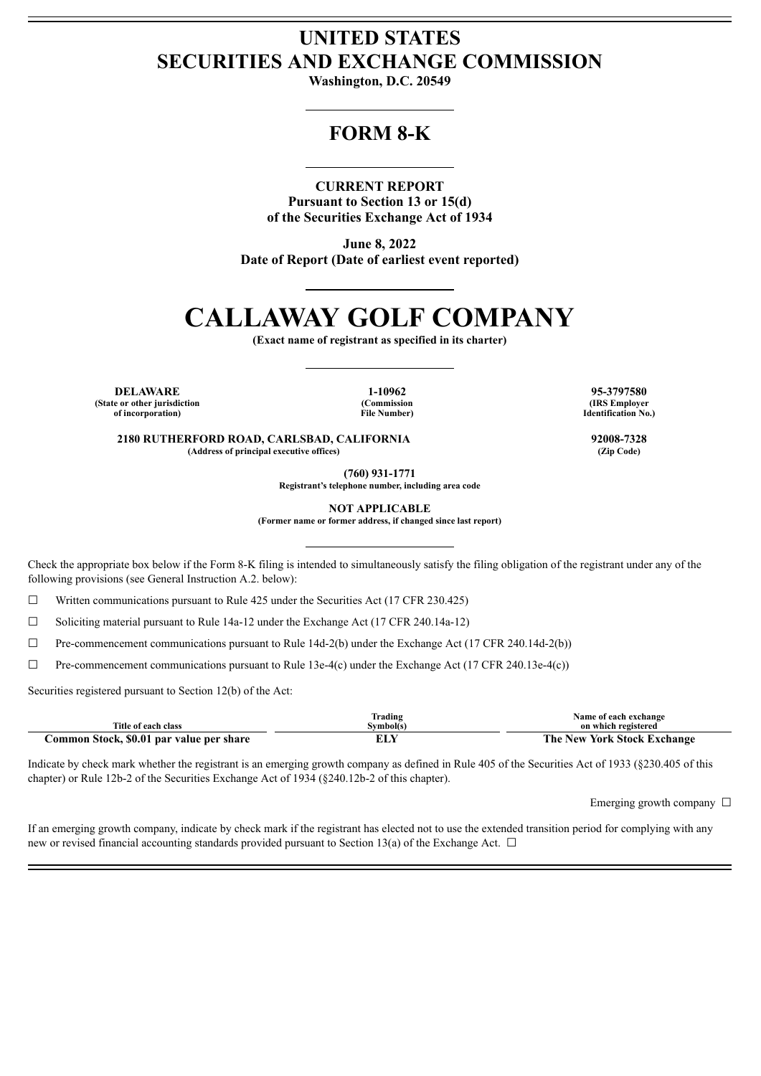# **UNITED STATES SECURITIES AND EXCHANGE COMMISSION**

**Washington, D.C. 20549**

# **FORM 8-K**

### **CURRENT REPORT**

**Pursuant to Section 13 or 15(d) of the Securities Exchange Act of 1934**

**June 8, 2022 Date of Report (Date of earliest event reported)**

# **CALLAWAY GOLF COMPANY**

**(Exact name of registrant as specified in its charter)**

**DELAWARE 1-10962 95-3797580 (State or other jurisdiction of incorporation)**

**(Commission File Number)**

**(IRS Employer Identification No.)**

**2180 RUTHERFORD ROAD, CARLSBAD, CALIFORNIA 92008-7328 (Address of principal executive offices) (Zip Code)**

**(760) 931-1771**

**Registrant's telephone number, including area code**

**NOT APPLICABLE**

**(Former name or former address, if changed since last report)**

Check the appropriate box below if the Form 8-K filing is intended to simultaneously satisfy the filing obligation of the registrant under any of the following provisions (see General Instruction A.2. below):

 $\Box$  Written communications pursuant to Rule 425 under the Securities Act (17 CFR 230.425)

☐ Soliciting material pursuant to Rule 14a-12 under the Exchange Act (17 CFR 240.14a-12)

☐ Pre-commencement communications pursuant to Rule 14d-2(b) under the Exchange Act (17 CFR 240.14d-2(b))

 $\Box$  Pre-commencement communications pursuant to Rule 13e-4(c) under the Exchange Act (17 CFR 240.13e-4(c))

Securities registered pursuant to Section 12(b) of the Act:

|                                          | Trading   | Name of each exchange              |
|------------------------------------------|-----------|------------------------------------|
| Title of each class                      | Svmbol(s) | on which registered                |
| Common Stock, \$0.01 par value per share |           | <b>The New York Stock Exchange</b> |

Indicate by check mark whether the registrant is an emerging growth company as defined in Rule 405 of the Securities Act of 1933 (§230.405 of this chapter) or Rule 12b-2 of the Securities Exchange Act of 1934 (§240.12b-2 of this chapter).

Emerging growth company  $\Box$ 

If an emerging growth company, indicate by check mark if the registrant has elected not to use the extended transition period for complying with any new or revised financial accounting standards provided pursuant to Section 13(a) of the Exchange Act.  $\Box$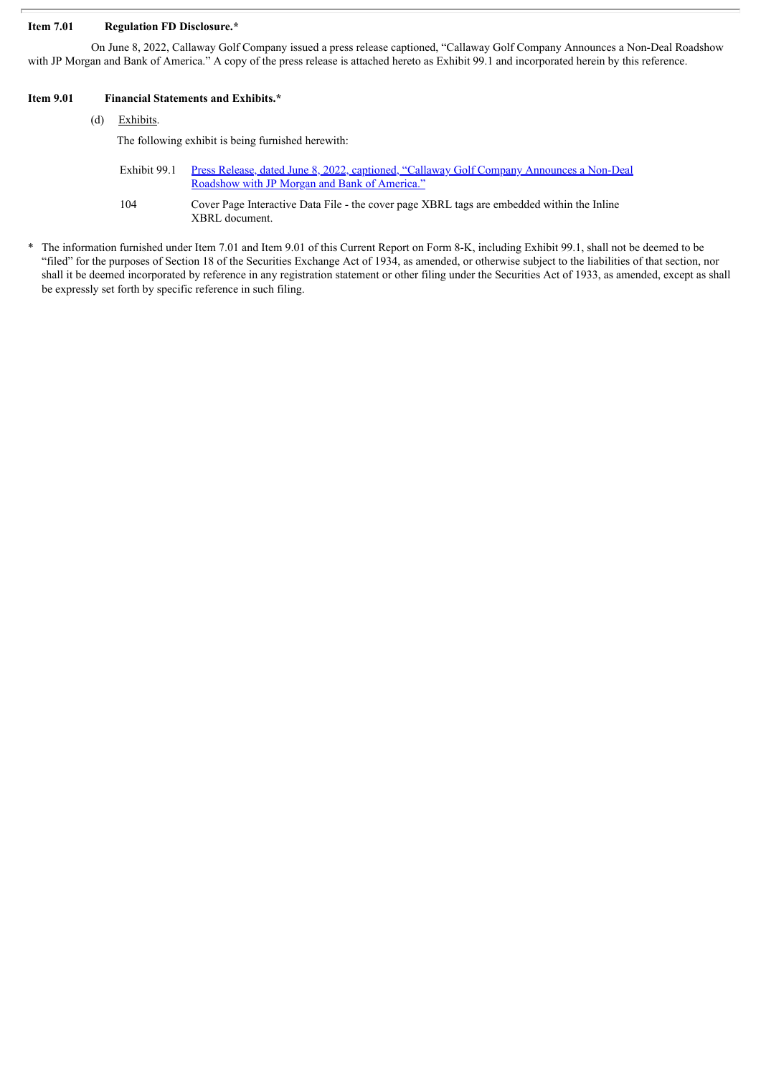#### **Item 7.01 Regulation FD Disclosure.\***

On June 8, 2022, Callaway Golf Company issued a press release captioned, "Callaway Golf Company Announces a Non-Deal Roadshow with JP Morgan and Bank of America." A copy of the press release is attached hereto as Exhibit 99.1 and incorporated herein by this reference.

#### **Item 9.01 Financial Statements and Exhibits.\***

## (d) Exhibits.

The following exhibit is being furnished herewith:

- Exhibit 99.1 Press Release, dated June 8, 2022, captioned, "Callaway Golf Company [Announces](#page-3-0) a Non-Deal Roadshow with JP Morgan and Bank of America."
- 104 Cover Page Interactive Data File the cover page XBRL tags are embedded within the Inline XBRL document.
- \* The information furnished under Item 7.01 and Item 9.01 of this Current Report on Form 8-K, including Exhibit 99.1, shall not be deemed to be "filed" for the purposes of Section 18 of the Securities Exchange Act of 1934, as amended, or otherwise subject to the liabilities of that section, nor shall it be deemed incorporated by reference in any registration statement or other filing under the Securities Act of 1933, as amended, except as shall be expressly set forth by specific reference in such filing.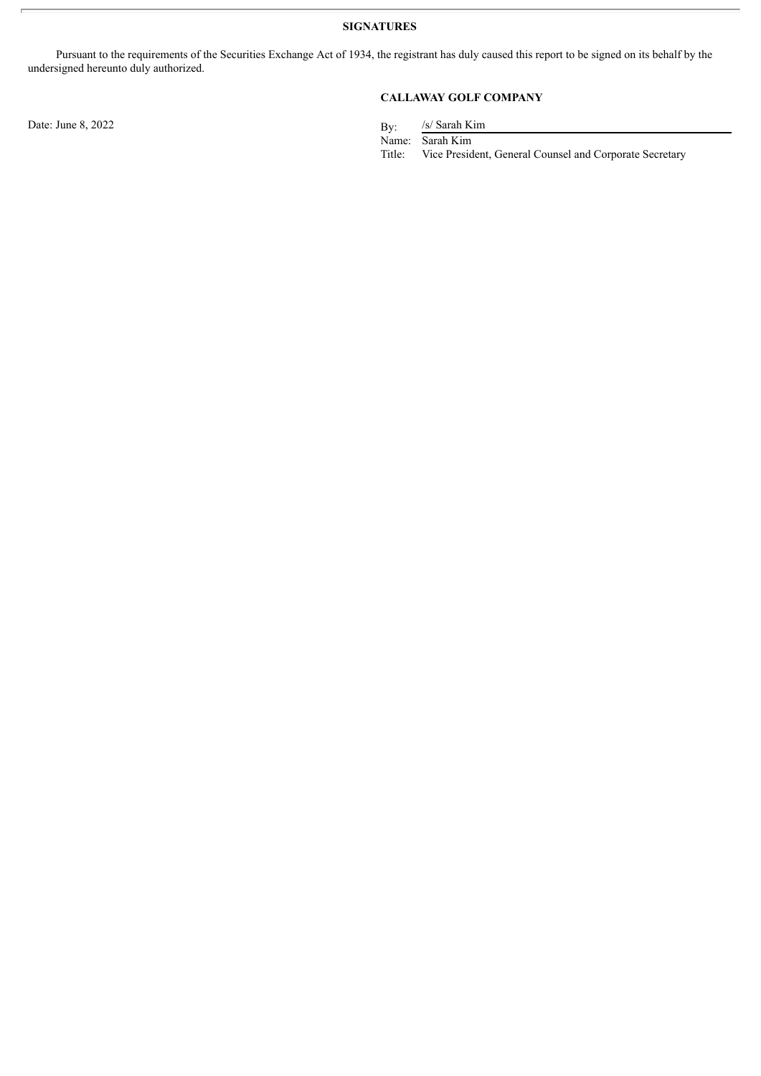**SIGNATURES**

Pursuant to the requirements of the Securities Exchange Act of 1934, the registrant has duly caused this report to be signed on its behalf by the undersigned hereunto duly authorized.

Date: June  $8, 2022$  By:

## **CALLAWAY GOLF COMPANY**

/s/ Sarah Kim

Name: Sarah Kim<br>Title: Vice Presid Vice President, General Counsel and Corporate Secretary